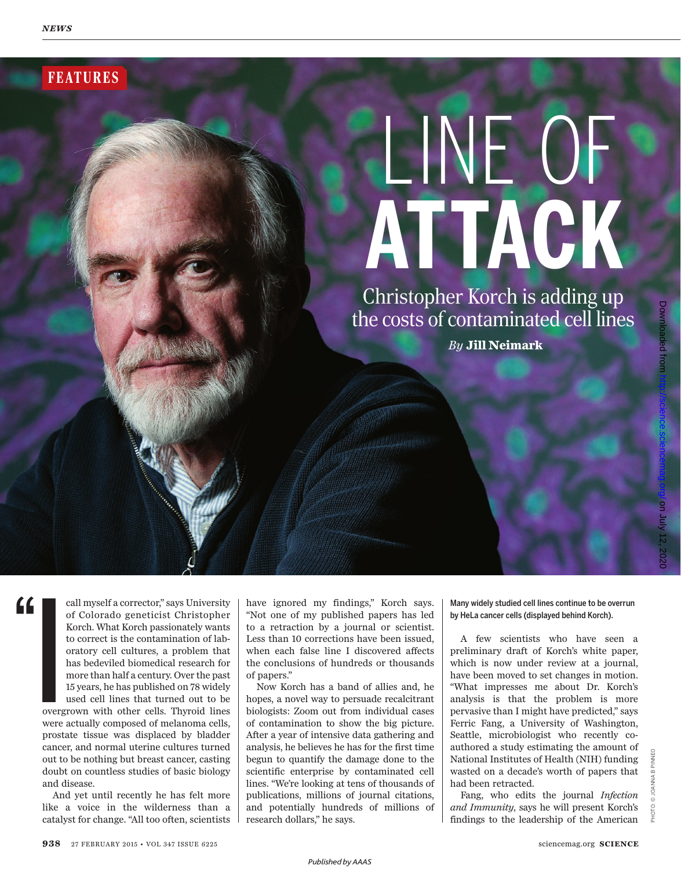**FEATURES**

## LINE OF **ATTACK**

Christopher Korch is adding up the costs of contaminated cell lines

*By* **Jill Neimark**

call myself a corrector," says University of Colorado geneticist Christopher Korch. What Korch passionately wants to correct is the contamination of laboratory cell cultures, a problem that has bedeviled biomedical research for more than half a century. Over the past 15 years, he has published on 78 widely

"

I used cell lines that turned out to be overgrown with other cells. Thyroid lines were actually composed of melanoma cells, prostate tissue was displaced by bladder cancer, and normal uterine cultures turned out to be nothing but breast cancer, casting doubt on countless studies of basic biology and disease.

And yet until recently he has felt more like a voice in the wilderness than a catalyst for change. "All too often, scientists have ignored my findings," Korch says. "Not one of my published papers has led to a retraction by a journal or scientist. Less than 10 corrections have been issued, when each false line I discovered affects the conclusions of hundreds or thousands of papers."

Now Korch has a band of allies and, he hopes, a novel way to persuade recalcitrant biologists: Zoom out from individual cases of contamination to show the big picture. After a year of intensive data gathering and analysis, he believes he has for the first time begun to quantify the damage done to the scientific enterprise by contaminated cell lines. "We're looking at tens of thousands of publications, millions of journal citations, and potentially hundreds of millions of research dollars," he says.

Many widely studied cell lines continue to be overrun by HeLa cancer cells (displayed behind Korch).

A few scientists who have seen a preliminary draft of Korch's white paper, which is now under review at a journal, have been moved to set changes in motion. "What impresses me about Dr. Korch's analysis is that the problem is more pervasive than I might have predicted," says Ferric Fang, a University of Washington, Seattle, microbiologist who recently coauthored a study estimating the amount of National Institutes of Health (NIH) funding wasted on a decade's worth of papers that had been retracted.

Fang, who edits the journal *Infection and Immunity*, says he will present Korch's findings to the leadership of the American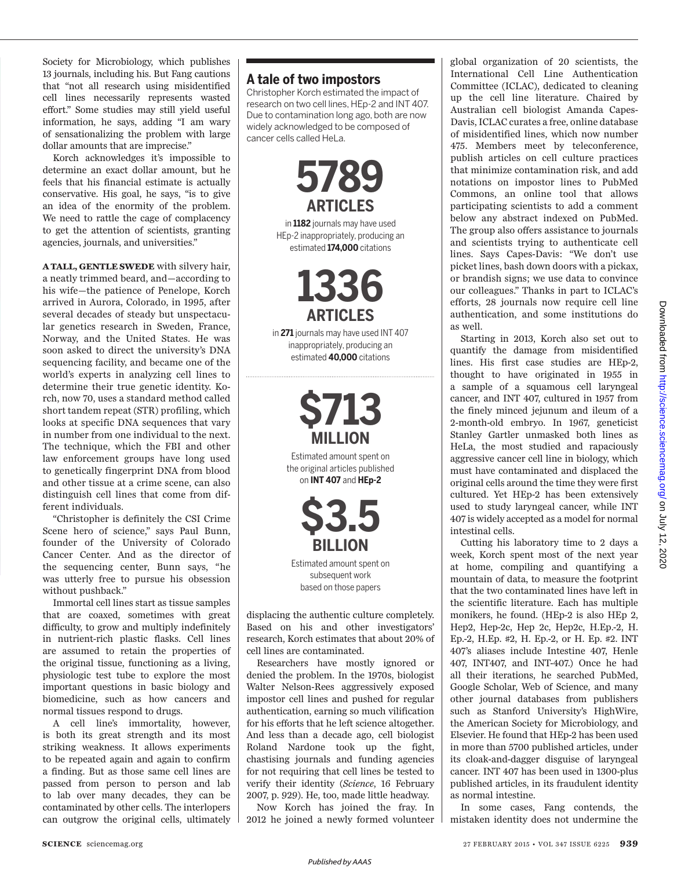Society for Microbiology, which publishes 13 journals, including his. But Fang cautions that "not all research using misidentified cell lines necessarily represents wasted effort." Some studies may still yield useful information, he says, adding "I am wary of sensationalizing the problem with large dollar amounts that are imprecise."

Korch acknowledges it's impossible to determine an exact dollar amount, but he feels that his financial estimate is actually conservative. His goal, he says, "is to give an idea of the enormity of the problem. We need to rattle the cage of complacency to get the attention of scientists, granting agencies, journals, and universities."

**A TALL, GENTLE SWEDE** with silvery hair, a neatly trimmed beard, and—according to his wife—the patience of Penelope, Korch arrived in Aurora, Colorado, in 1995, after several decades of steady but unspectacular genetics research in Sweden, France, Norway, and the United States. He was soon asked to direct the university's DNA sequencing facility, and became one of the world's experts in analyzing cell lines to determine their true genetic identity. Korch, now 70, uses a standard method called short tandem repeat (STR) profiling, which looks at specific DNA sequences that vary in number from one individual to the next. The technique, which the FBI and other law enforcement groups have long used to genetically fingerprint DNA from blood and other tissue at a crime scene, can also distinguish cell lines that come from different individuals.

"Christopher is definitely the CSI Crime Scene hero of science," says Paul Bunn, founder of the University of Colorado Cancer Center. And as the director of the sequencing center, Bunn says, "he was utterly free to pursue his obsession without pushback."

Immortal cell lines start as tissue samples that are coaxed, sometimes with great difficulty, to grow and multiply indefinitely in nutrient-rich plastic flasks. Cell lines are assumed to retain the properties of the original tissue, functioning as a living, physiologic test tube to explore the most important questions in basic biology and biomedicine, such as how cancers and normal tissues respond to drugs.

A cell line's immortality, however, is both its great strength and its most striking weakness. It allows experiments to be repeated again and again to confirm a finding. But as those same cell lines are passed from person to person and lab to lab over many decades, they can be contaminated by other cells. The interlopers can outgrow the original cells, ultimately

## **A tale of two impostors**

Christopher Korch estimated the impact of research on two cell lines, HEp-2 and INT 407. Due to contamination long ago, both are now widely acknowledged to be composed of cancer cells called HeLa.

> **5789 ARTICLES** in **1182** journals may have used HEp-2 inappropriately, producing an estimated **174,000** citations **1336 ARTICLES** in **271** journals may have used INT 407 inappropriately, producing an estimated **40,000** citations **\$713 MILLION** Estimated amount spent on the original articles published on **INT 407** and **HEp-2 \$3.5 BILLION** Estimated amount spent on subsequent work based on those papers

displacing the authentic culture completely. Based on his and other investigators' research, Korch estimates that about 20% of cell lines are contaminated.

Researchers have mostly ignored or denied the problem. In the 1970s, biologist Walter Nelson-Rees aggressively exposed impostor cell lines and pushed for regular authentication, earning so much vilification for his efforts that he left science altogether. And less than a decade ago, cell biologist Roland Nardone took up the fight, chastising journals and funding agencies for not requiring that cell lines be tested to verify their identity (*Science*, 16 February 2007, p. 929). He, too, made little headway.

Now Korch has joined the fray. In 2012 he joined a newly formed volunteer global organization of 20 scientists, the International Cell Line Authentication Committee (ICLAC), dedicated to cleaning up the cell line literature. Chaired by Australian cell biologist Amanda Capes-Davis, ICLAC curates a free, online database of misidentified lines, which now number 475. Members meet by teleconference, publish articles on cell culture practices that minimize contamination risk, and add notations on impostor lines to PubMed Commons, an online tool that allows participating scientists to add a comment below any abstract indexed on PubMed. The group also offers assistance to journals and scientists trying to authenticate cell lines. Says Capes-Davis: "We don't use picket lines, bash down doors with a pickax, or brandish signs; we use data to convince our colleagues." Thanks in part to ICLAC's efforts, 28 journals now require cell line authentication, and some institutions do as well.

Starting in 2013, Korch also set out to quantify the damage from misidentified lines. His first case studies are HEp-2, thought to have originated in 1955 in a sample of a squamous cell laryngeal cancer, and INT 407, cultured in 1957 from the finely minced jejunum and ileum of a 2-month-old embryo. In 1967, geneticist Stanley Gartler unmasked both lines as HeLa, the most studied and rapaciously aggressive cancer cell line in biology, which must have contaminated and displaced the original cells around the time they were first cultured. Yet HEp-2 has been extensively used to study laryngeal cancer, while INT 407 is widely accepted as a model for normal intestinal cells.

Cutting his laboratory time to 2 days a week, Korch spent most of the next year at home, compiling and quantifying a mountain of data, to measure the footprint that the two contaminated lines have left in the scientific literature. Each has multiple monikers, he found. (HEp-2 is also HEp 2, Hep2, Hep-2c, Hep 2c, Hep2c, H.Ep.-2, H. Ep.-2, H.Ep. #2, H. Ep.-2, or H. Ep. #2. INT 407's aliases include Intestine 407, Henle 407, INT407, and INT-407.) Once he had all their iterations, he searched PubMed, Google Scholar, Web of Science, and many other journal databases from publishers such as Stanford University's HighWire, the American Society for Microbiology, and Elsevier. He found that HEp-2 has been used in more than 5700 published articles, under its cloak-and-dagger disguise of laryngeal cancer. INT 407 has been used in 1300-plus published articles, in its fraudulent identity as normal intestine.

In some cases, Fang contends, the mistaken identity does not undermine the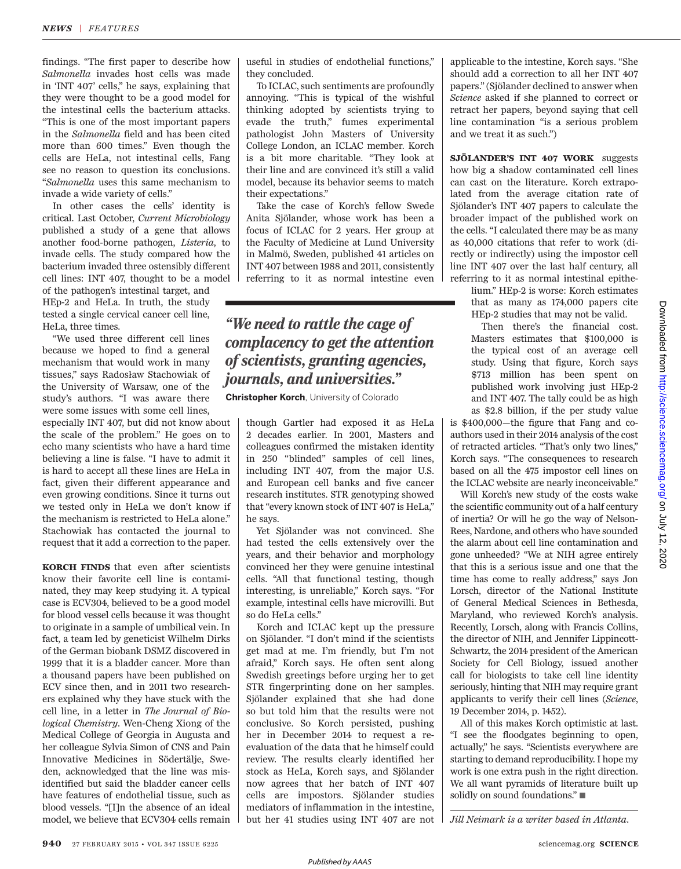findings. "The first paper to describe how *Salmonella* invades host cells was made in 'INT 407' cells," he says, explaining that they were thought to be a good model for the intestinal cells the bacterium attacks. "This is one of the most important papers in the *Salmonella* field and has been cited more than 600 times." Even though the cells are HeLa, not intestinal cells, Fang see no reason to question its conclusions. "*Salmonella* uses this same mechanism to invade a wide variety of cells."

In other cases the cells' identity is critical. Last October, *Current Microbiology* published a study of a gene that allows another food-borne pathogen, *Listeria*, to invade cells. The study compared how the bacterium invaded three ostensibly different cell lines: INT 407, thought to be a model of the pathogen's intestinal target, and HEp-2 and HeLa. In truth, the study tested a single cervical cancer cell line, HeLa, three times.

"We used three different cell lines because we hoped to find a general mechanism that would work in many tissues," says Radosław Stachowiak of the University of Warsaw, one of the study's authors. "I was aware there were some issues with some cell lines,

especially INT 407, but did not know about the scale of the problem." He goes on to echo many scientists who have a hard time believing a line is false. "I have to admit it is hard to accept all these lines are HeLa in fact, given their different appearance and even growing conditions. Since it turns out we tested only in HeLa we don't know if the mechanism is restricted to HeLa alone." Stachowiak has contacted the journal to request that it add a correction to the paper.

**KORCH FINDS** that even after scientists know their favorite cell line is contaminated, they may keep studying it. A typical case is ECV304, believed to be a good model for blood vessel cells because it was thought to originate in a sample of umbilical vein. In fact, a team led by geneticist Wilhelm Dirks of the German biobank DSMZ discovered in 1999 that it is a bladder cancer. More than a thousand papers have been published on ECV since then, and in 2011 two researchers explained why they have stuck with the cell line, in a letter in *The Journal of Biological Chemistry*. Wen-Cheng Xiong of the Medical College of Georgia in Augusta and her colleague Sylvia Simon of CNS and Pain Innovative Medicines in Södertälje, Sweden, acknowledged that the line was misidentified but said the bladder cancer cells have features of endothelial tissue, such as blood vessels. "[I]n the absence of an ideal model, we believe that ECV304 cells remain

useful in studies of endothelial functions," they concluded.

To ICLAC, such sentiments are profoundly annoying. "This is typical of the wishful thinking adopted by scientists trying to evade the truth," fumes experimental pathologist John Masters of University College London, an ICLAC member. Korch is a bit more charitable. "They look at their line and are convinced it's still a valid model, because its behavior seems to match their expectations."

Take the case of Korch's fellow Swede Anita Sjölander, whose work has been a focus of ICLAC for 2 years. Her group at the Faculty of Medicine at Lund University in Malmö, Sweden, published 41 articles on INT 407 between 1988 and 2011, consistently referring to it as normal intestine even

## *"We need to rattle the cage of complacency to get the attention of scientists, granting agencies, journals, and universities."*

**Christopher Korch**, University of Colorado

though Gartler had exposed it as HeLa 2 decades earlier. In 2001, Masters and colleagues confirmed the mistaken identity in 250 "blinded" samples of cell lines, including INT 407, from the major U.S. and European cell banks and five cancer research institutes. STR genotyping showed that "every known stock of INT 407 is HeLa," he says.

Yet Sjölander was not convinced. She had tested the cells extensively over the years, and their behavior and morphology convinced her they were genuine intestinal cells. "All that functional testing, though interesting, is unreliable," Korch says. "For example, intestinal cells have microvilli. But so do HeLa cells."

Korch and ICLAC kept up the pressure on Sjölander. "I don't mind if the scientists get mad at me. I'm friendly, but I'm not afraid," Korch says. He often sent along Swedish greetings before urging her to get STR fingerprinting done on her samples. Sjölander explained that she had done so but told him that the results were not conclusive. So Korch persisted, pushing her in December 2014 to request a reevaluation of the data that he himself could review. The results clearly identified her stock as HeLa, Korch says, and Sjölander now agrees that her batch of INT 407 cells are impostors. Sjölander studies mediators of inflammation in the intestine, but her 41 studies using INT 407 are not applicable to the intestine, Korch says. "She should add a correction to all her INT 407 papers." (Sjölander declined to answer when *Science* asked if she planned to correct or retract her papers, beyond saying that cell line contamination "is a serious problem and we treat it as such.")

**SJÖLANDER'S INT 407 WORK** suggests how big a shadow contaminated cell lines can cast on the literature. Korch extrapolated from the average citation rate of Sjölander's INT 407 papers to calculate the broader impact of the published work on the cells. "I calculated there may be as many as 40,000 citations that refer to work (directly or indirectly) using the impostor cell line INT 407 over the last half century, all referring to it as normal intestinal epithe-

> lium." HEp-2 is worse: Korch estimates that as many as 174,000 papers cite HEp-2 studies that may not be valid.

> Then there's the financial cost. Masters estimates that \$100,000 is the typical cost of an average cell study. Using that figure, Korch says \$713 million has been spent on published work involving just HEp-2 and INT 407. The tally could be as high as \$2.8 billion, if the per study value

is \$400,000—the figure that Fang and coauthors used in their 2014 analysis of the cost of retracted articles. "That's only two lines," Korch says. "The consequences to research based on all the 475 impostor cell lines on the ICLAC website are nearly inconceivable."

Will Korch's new study of the costs wake the scientific community out of a half century of inertia? Or will he go the way of Nelson-Rees, Nardone, and others who have sounded the alarm about cell line contamination and gone unheeded? "We at NIH agree entirely that this is a serious issue and one that the time has come to really address," says Jon Lorsch, director of the National Institute of General Medical Sciences in Bethesda, Maryland, who reviewed Korch's analysis. Recently, Lorsch, along with Francis Collins, the director of NIH, and Jennifer Lippincott-Schwartz, the 2014 president of the American Society for Cell Biology, issued another call for biologists to take cell line identity seriously, hinting that NIH may require grant applicants to verify their cell lines (*Science*, 19 December 2014, p. 1452).

All of this makes Korch optimistic at last. "I see the floodgates beginning to open, actually," he says. "Scientists everywhere are starting to demand reproducibility. I hope my work is one extra push in the right direction. We all want pyramids of literature built up solidly on sound foundations." ■

*Jill Neimark is a writer based in Atlanta.*